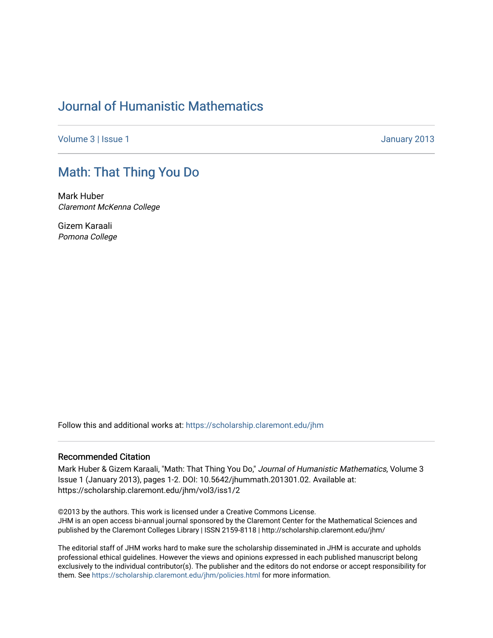## [Journal of Humanistic Mathematics](https://scholarship.claremont.edu/jhm)

[Volume 3](https://scholarship.claremont.edu/jhm/vol3) | [Issue 1](https://scholarship.claremont.edu/jhm/vol3/iss1) January 2013

## [Math: That Thing You Do](https://scholarship.claremont.edu/jhm/vol3/iss1/2)

Mark Huber Claremont McKenna College

Gizem Karaali Pomona College

Follow this and additional works at: [https://scholarship.claremont.edu/jhm](https://scholarship.claremont.edu/jhm?utm_source=scholarship.claremont.edu%2Fjhm%2Fvol3%2Fiss1%2F2&utm_medium=PDF&utm_campaign=PDFCoverPages)

## Recommended Citation

Mark Huber & Gizem Karaali, "Math: That Thing You Do," Journal of Humanistic Mathematics, Volume 3 Issue 1 (January 2013), pages 1-2. DOI: 10.5642/jhummath.201301.02. Available at: https://scholarship.claremont.edu/jhm/vol3/iss1/2

©2013 by the authors. This work is licensed under a Creative Commons License. JHM is an open access bi-annual journal sponsored by the Claremont Center for the Mathematical Sciences and published by the Claremont Colleges Library | ISSN 2159-8118 | http://scholarship.claremont.edu/jhm/

The editorial staff of JHM works hard to make sure the scholarship disseminated in JHM is accurate and upholds professional ethical guidelines. However the views and opinions expressed in each published manuscript belong exclusively to the individual contributor(s). The publisher and the editors do not endorse or accept responsibility for them. See<https://scholarship.claremont.edu/jhm/policies.html> for more information.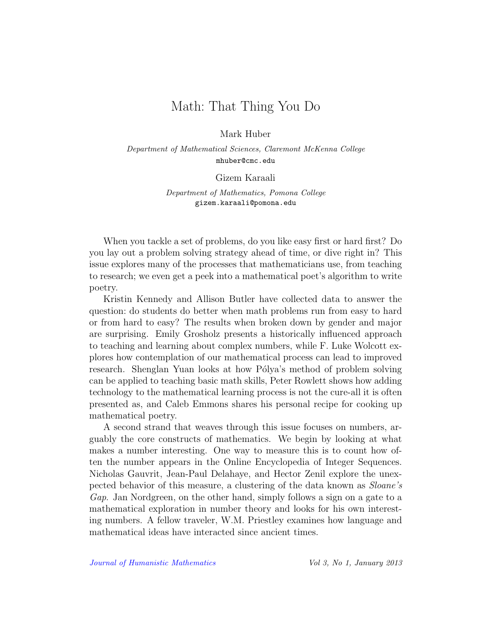## Math: That Thing You Do

Mark Huber

Department of Mathematical Sciences, Claremont McKenna College mhuber@cmc.edu

Gizem Karaali

Department of Mathematics, Pomona College gizem.karaali@pomona.edu

When you tackle a set of problems, do you like easy first or hard first? Do you lay out a problem solving strategy ahead of time, or dive right in? This issue explores many of the processes that mathematicians use, from teaching to research; we even get a peek into a mathematical poet's algorithm to write poetry.

Kristin Kennedy and Allison Butler have collected data to answer the question: do students do better when math problems run from easy to hard or from hard to easy? The results when broken down by gender and major are surprising. Emily Grosholz presents a historically influenced approach to teaching and learning about complex numbers, while F. Luke Wolcott explores how contemplation of our mathematical process can lead to improved research. Shenglan Yuan looks at how Pólya's method of problem solving can be applied to teaching basic math skills, Peter Rowlett shows how adding technology to the mathematical learning process is not the cure-all it is often presented as, and Caleb Emmons shares his personal recipe for cooking up mathematical poetry.

A second strand that weaves through this issue focuses on numbers, arguably the core constructs of mathematics. We begin by looking at what makes a number interesting. One way to measure this is to count how often the number appears in the Online Encyclopedia of Integer Sequences. Nicholas Gauvrit, Jean-Paul Delahaye, and Hector Zenil explore the unexpected behavior of this measure, a clustering of the data known as Sloane's Gap. Jan Nordgreen, on the other hand, simply follows a sign on a gate to a mathematical exploration in number theory and looks for his own interesting numbers. A fellow traveler, W.M. Priestley examines how language and mathematical ideas have interacted since ancient times.

[Journal of Humanistic Mathematics](http://scholarship.claremont.edu/jhm/) Vol 3, No 1, January 2013